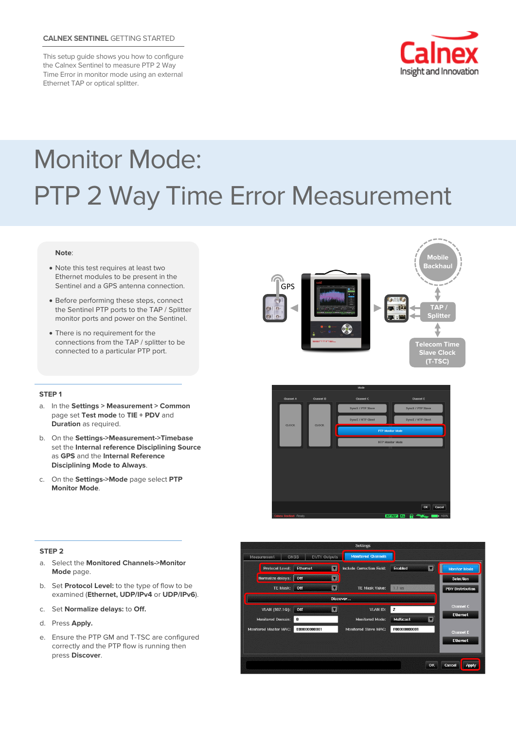# **CALNEX SENTINEL** GETTING STARTED

This setup guide shows you how to configure the Calnex Sentinel to measure PTP 2 Way Time Error in monitor mode using an external Ethernet TAP or optical splitter.



# Monitor Mode: PTP 2 Way Time Error Measurement

#### **Note**:

- Note this test requires at least two Ethernet modules to be present in the Sentinel and a GPS antenna connection.
- Before performing these steps, connect the Sentinel PTP ports to the TAP / Splitter monitor ports and power on the Sentinel.
- There is no requirement for the connections from the TAP / splitter to be connected to a particular PTP port.



#### **STEP 1**

- a. In the **Settings > Measurement > Common**  page set **Test mode** to **TIE + PDV** and **Duration** as required.
- b. On the **Settings->Measurement->Timebase** set the **Internal reference Disciplining Source** as **GPS** and the **Internal Reference Disciplining Mode to Always**.
- c. On the **Settings->Mode** page select **PTP Monitor Mode**.

### **STEP 2**

- a. Select the **Monitored Channels->Monitor Mode** page.
- b. Set **Protocol Level:** to the type of flow to be examined (**Ethernet, UDP/IPv4** or **UDP/IPv6**).
- c. Set **Normalize delays:** to **Off.**
- d. Press **Apply.**
- e. Ensure the PTP GM and T-TSC are configured correctly and the PTP flow is running then press **Discover**.



ok Can